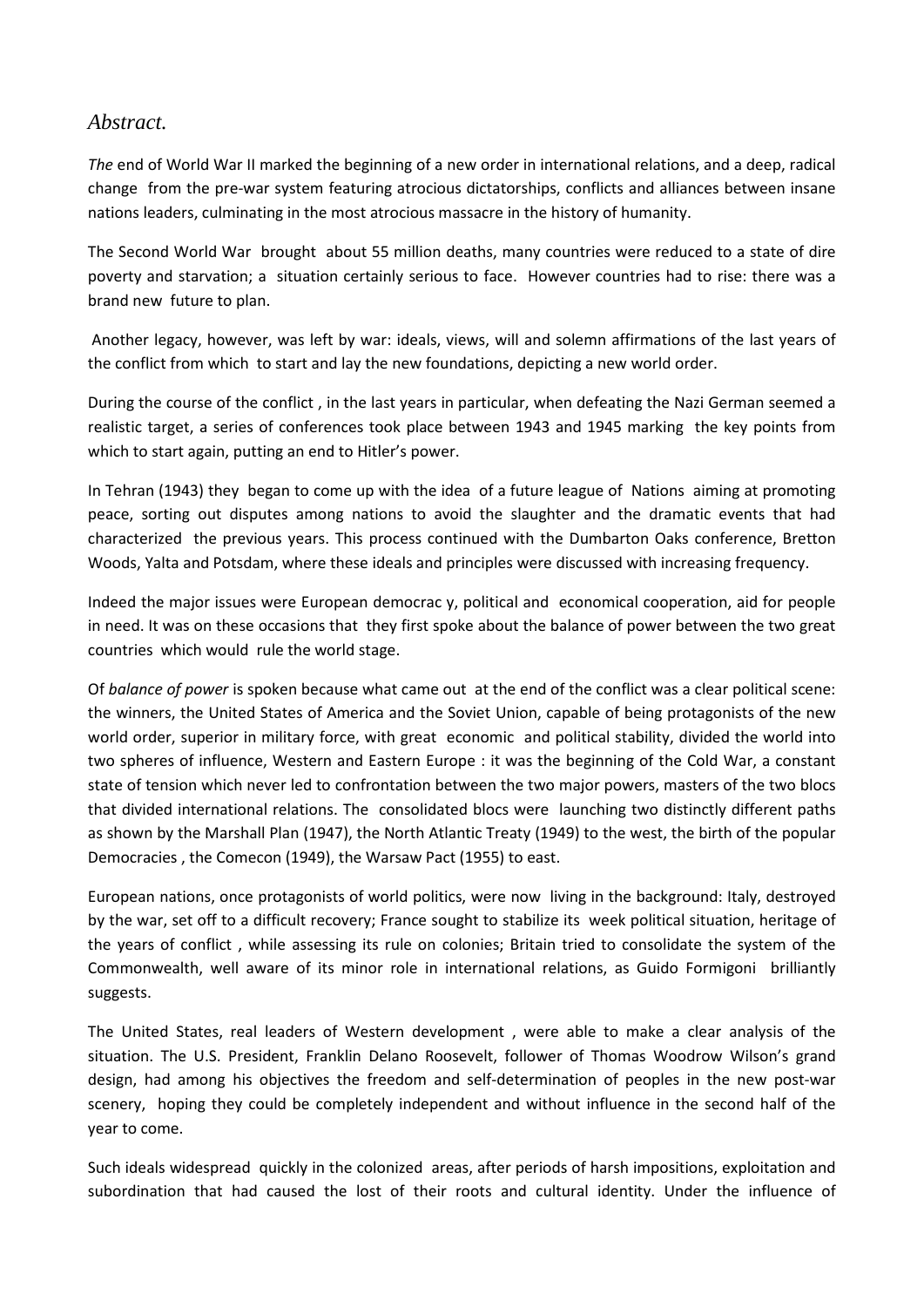## *Abstract.*

*The* end of World War II marked the beginning of a new order in international relations, and a deep, radical change from the pre-war system featuring atrocious dictatorships, conflicts and alliances between insane nations leaders, culminating in the most atrocious massacre in the history of humanity.

The Second World War brought about 55 million deaths, many countries were reduced to a state of dire poverty and starvation; a situation certainly serious to face. However countries had to rise: there was a brand new future to plan.

Another legacy, however, was left by war: ideals, views, will and solemn affirmations of the last years of the conflict from which to start and lay the new foundations, depicting a new world order.

During the course of the conflict , in the last years in particular, when defeating the Nazi German seemed a realistic target, a series of conferences took place between 1943 and 1945 marking the key points from which to start again, putting an end to Hitler's power.

In Tehran (1943) they began to come up with the idea of a future league of Nations aiming at promoting peace, sorting out disputes among nations to avoid the slaughter and the dramatic events that had characterized the previous years. This process continued with the Dumbarton Oaks conference, Bretton Woods, Yalta and Potsdam, where these ideals and principles were discussed with increasing frequency.

Indeed the major issues were European democrac y, political and economical cooperation, aid for people in need. It was on these occasions that they first spoke about the balance of power between the two great countries which would rule the world stage.

Of *balance of power* is spoken because what came out at the end of the conflict was a clear political scene: the winners, the United States of America and the Soviet Union, capable of being protagonists of the new world order, superior in military force, with great economic and political stability, divided the world into two spheres of influence, Western and Eastern Europe : it was the beginning of the Cold War, a constant state of tension which never led to confrontation between the two major powers, masters of the two blocs that divided international relations. The consolidated blocs were launching two distinctly different paths as shown by the Marshall Plan (1947), the North Atlantic Treaty (1949) to the west, the birth of the popular Democracies , the Comecon (1949), the Warsaw Pact (1955) to east.

European nations, once protagonists of world politics, were now living in the background: Italy, destroyed by the war, set off to a difficult recovery; France sought to stabilize its week political situation, heritage of the years of conflict , while assessing its rule on colonies; Britain tried to consolidate the system of the Commonwealth, well aware of its minor role in international relations, as Guido Formigoni brilliantly suggests.

The United States, real leaders of Western development , were able to make a clear analysis of the situation. The U.S. President, Franklin Delano Roosevelt, follower of Thomas Woodrow Wilson's grand design, had among his objectives the freedom and self-determination of peoples in the new post-war scenery, hoping they could be completely independent and without influence in the second half of the year to come.

Such ideals widespread quickly in the colonized areas, after periods of harsh impositions, exploitation and subordination that had caused the lost of their roots and cultural identity. Under the influence of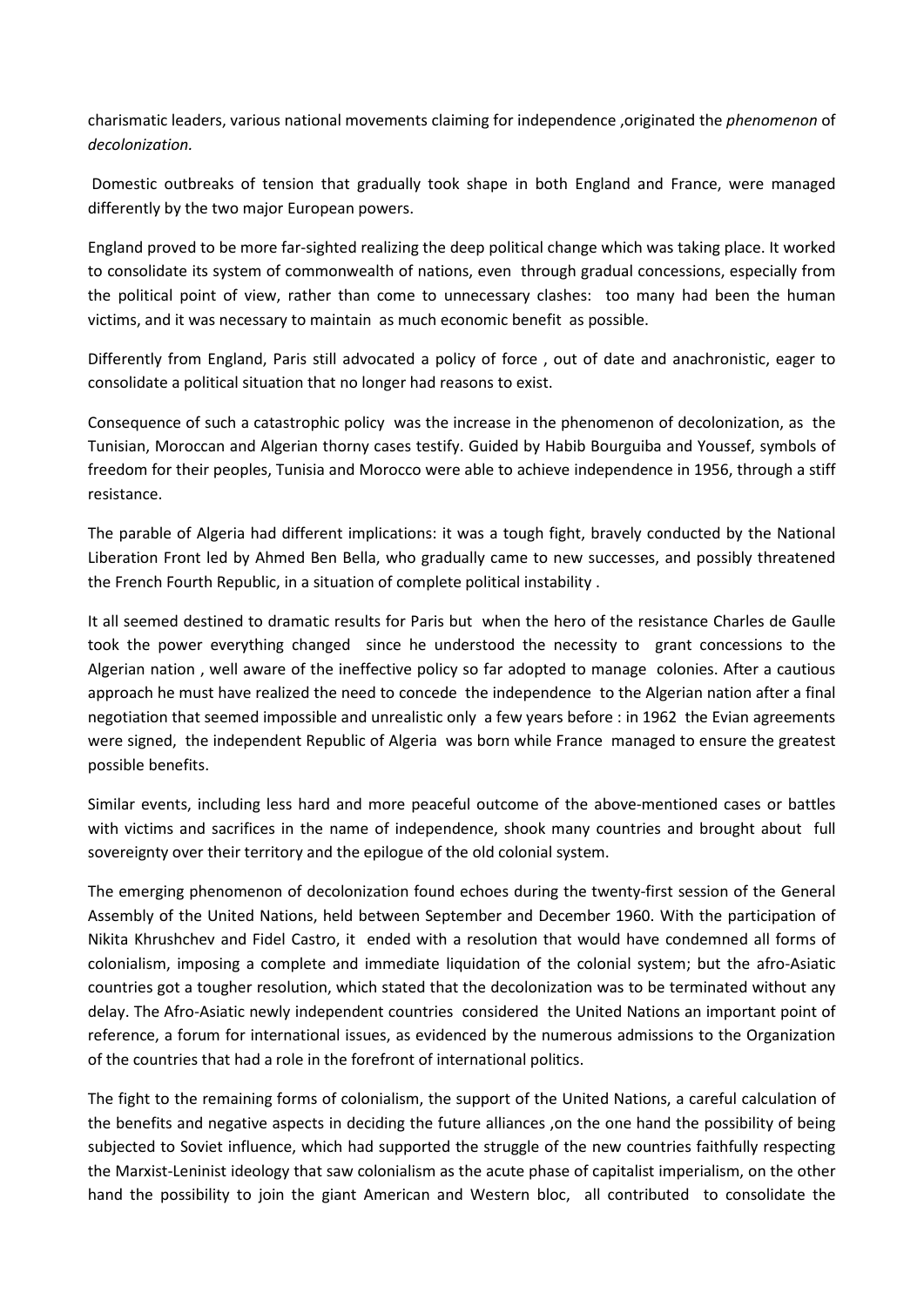charismatic leaders, various national movements claiming for independence ,originated the *phenomenon* of *decolonization.* 

Domestic outbreaks of tension that gradually took shape in both England and France, were managed differently by the two major European powers.

England proved to be more far-sighted realizing the deep political change which was taking place. It worked to consolidate its system of commonwealth of nations, even through gradual concessions, especially from the political point of view, rather than come to unnecessary clashes: too many had been the human victims, and it was necessary to maintain as much economic benefit as possible.

Differently from England, Paris still advocated a policy of force , out of date and anachronistic, eager to consolidate a political situation that no longer had reasons to exist.

Consequence of such a catastrophic policy was the increase in the phenomenon of decolonization, as the Tunisian, Moroccan and Algerian thorny cases testify. Guided by Habib Bourguiba and Youssef, symbols of freedom for their peoples, Tunisia and Morocco were able to achieve independence in 1956, through a stiff resistance.

The parable of Algeria had different implications: it was a tough fight, bravely conducted by the National Liberation Front led by Ahmed Ben Bella, who gradually came to new successes, and possibly threatened the French Fourth Republic, in a situation of complete political instability .

It all seemed destined to dramatic results for Paris but when the hero of the resistance Charles de Gaulle took the power everything changed since he understood the necessity to grant concessions to the Algerian nation , well aware of the ineffective policy so far adopted to manage colonies. After a cautious approach he must have realized the need to concede the independence to the Algerian nation after a final negotiation that seemed impossible and unrealistic only a few years before : in 1962 the Evian agreements were signed, the independent Republic of Algeria was born while France managed to ensure the greatest possible benefits.

Similar events, including less hard and more peaceful outcome of the above-mentioned cases or battles with victims and sacrifices in the name of independence, shook many countries and brought about full sovereignty over their territory and the epilogue of the old colonial system.

The emerging phenomenon of decolonization found echoes during the twenty-first session of the General Assembly of the United Nations, held between September and December 1960. With the participation of Nikita Khrushchev and Fidel Castro, it ended with a resolution that would have condemned all forms of colonialism, imposing a complete and immediate liquidation of the colonial system; but the afro-Asiatic countries got a tougher resolution, which stated that the decolonization was to be terminated without any delay. The Afro-Asiatic newly independent countries considered the United Nations an important point of reference, a forum for international issues, as evidenced by the numerous admissions to the Organization of the countries that had a role in the forefront of international politics.

The fight to the remaining forms of colonialism, the support of the United Nations, a careful calculation of the benefits and negative aspects in deciding the future alliances ,on the one hand the possibility of being subjected to Soviet influence, which had supported the struggle of the new countries faithfully respecting the Marxist-Leninist ideology that saw colonialism as the acute phase of capitalist imperialism, on the other hand the possibility to join the giant American and Western bloc, all contributed to consolidate the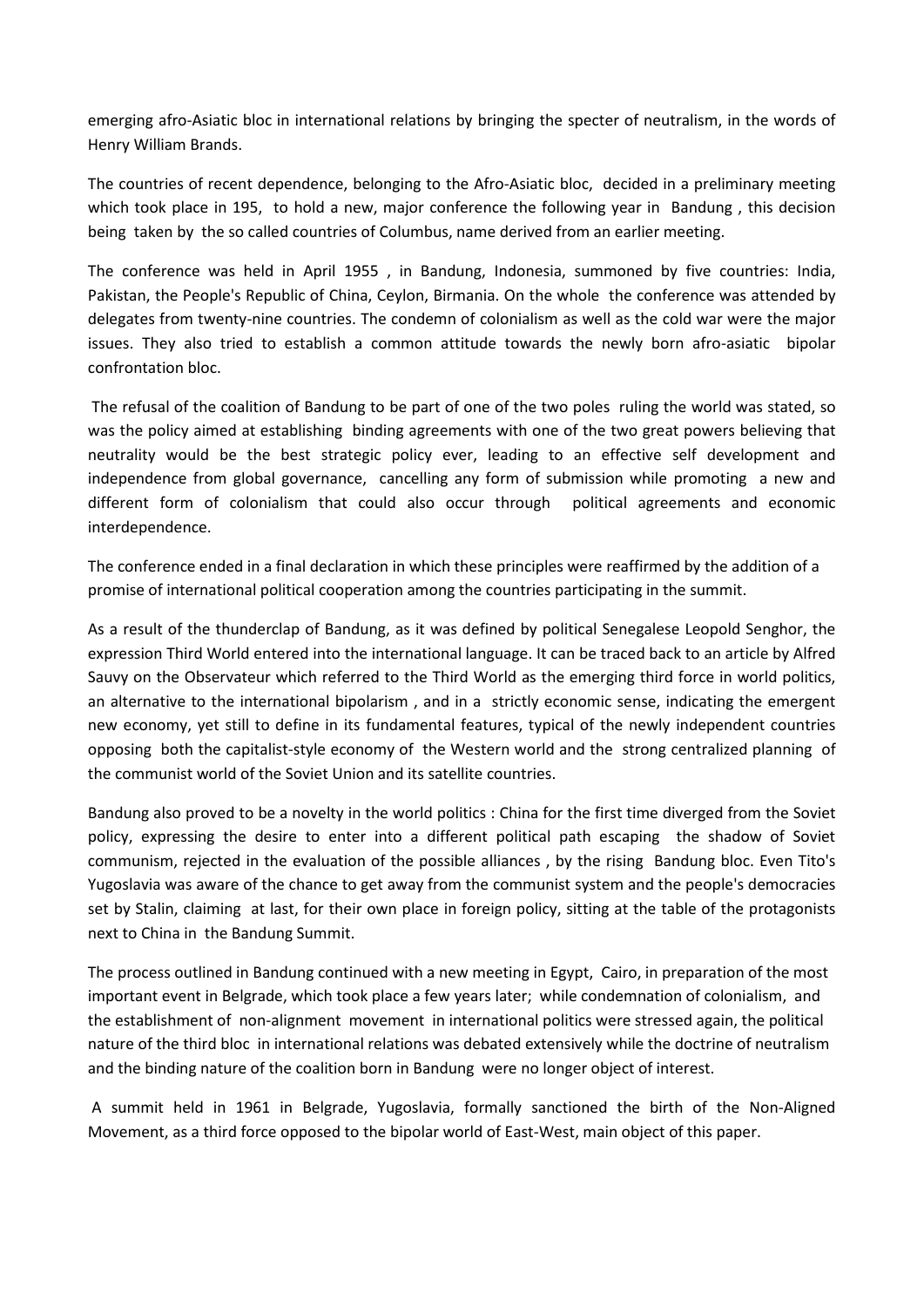emerging afro-Asiatic bloc in international relations by bringing the specter of neutralism, in the words of Henry William Brands.

The countries of recent dependence, belonging to the Afro-Asiatic bloc, decided in a preliminary meeting which took place in 195, to hold a new, major conference the following year in Bandung , this decision being taken by the so called countries of Columbus, name derived from an earlier meeting.

The conference was held in April 1955 , in Bandung, Indonesia, summoned by five countries: India, Pakistan, the People's Republic of China, Ceylon, Birmania. On the whole the conference was attended by delegates from twenty-nine countries. The condemn of colonialism as well as the cold war were the major issues. They also tried to establish a common attitude towards the newly born afro-asiatic bipolar confrontation bloc.

The refusal of the coalition of Bandung to be part of one of the two poles ruling the world was stated, so was the policy aimed at establishing binding agreements with one of the two great powers believing that neutrality would be the best strategic policy ever, leading to an effective self development and independence from global governance, cancelling any form of submission while promoting a new and different form of colonialism that could also occur through political agreements and economic interdependence.

The conference ended in a final declaration in which these principles were reaffirmed by the addition of a promise of international political cooperation among the countries participating in the summit.

As a result of the thunderclap of Bandung, as it was defined by political Senegalese Leopold Senghor, the expression Third World entered into the international language. It can be traced back to an article by Alfred Sauvy on the Observateur which referred to the Third World as the emerging third force in world politics, an alternative to the international bipolarism , and in a strictly economic sense, indicating the emergent new economy, yet still to define in its fundamental features, typical of the newly independent countries opposing both the capitalist-style economy of the Western world and the strong centralized planning of the communist world of the Soviet Union and its satellite countries.

Bandung also proved to be a novelty in the world politics : China for the first time diverged from the Soviet policy, expressing the desire to enter into a different political path escaping the shadow of Soviet communism, rejected in the evaluation of the possible alliances , by the rising Bandung bloc. Even Tito's Yugoslavia was aware of the chance to get away from the communist system and the people's democracies set by Stalin, claiming at last, for their own place in foreign policy, sitting at the table of the protagonists next to China in the Bandung Summit.

The process outlined in Bandung continued with a new meeting in Egypt, Cairo, in preparation of the most important event in Belgrade, which took place a few years later; while condemnation of colonialism, and the establishment of non-alignment movement in international politics were stressed again, the political nature of the third bloc in international relations was debated extensively while the doctrine of neutralism and the binding nature of the coalition born in Bandung were no longer object of interest.

A summit held in 1961 in Belgrade, Yugoslavia, formally sanctioned the birth of the Non-Aligned Movement, as a third force opposed to the bipolar world of East-West, main object of this paper.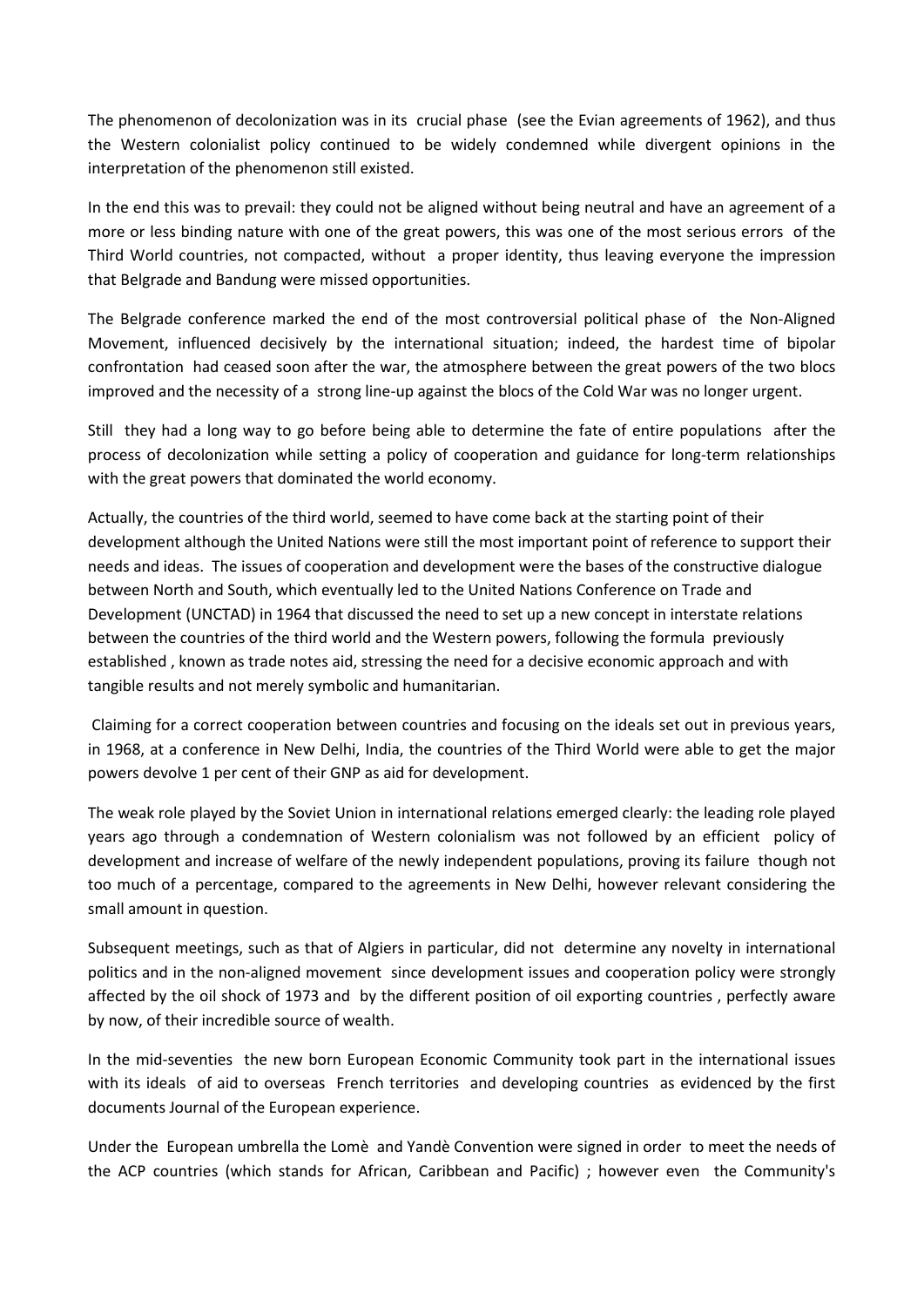The phenomenon of decolonization was in its crucial phase (see the Evian agreements of 1962), and thus the Western colonialist policy continued to be widely condemned while divergent opinions in the interpretation of the phenomenon still existed.

In the end this was to prevail: they could not be aligned without being neutral and have an agreement of a more or less binding nature with one of the great powers, this was one of the most serious errors of the Third World countries, not compacted, without a proper identity, thus leaving everyone the impression that Belgrade and Bandung were missed opportunities.

The Belgrade conference marked the end of the most controversial political phase of the Non-Aligned Movement, influenced decisively by the international situation; indeed, the hardest time of bipolar confrontation had ceased soon after the war, the atmosphere between the great powers of the two blocs improved and the necessity of a strong line-up against the blocs of the Cold War was no longer urgent.

Still they had a long way to go before being able to determine the fate of entire populations after the process of decolonization while setting a policy of cooperation and guidance for long-term relationships with the great powers that dominated the world economy.

Actually, the countries of the third world, seemed to have come back at the starting point of their development although the United Nations were still the most important point of reference to support their needs and ideas. The issues of cooperation and development were the bases of the constructive dialogue between North and South, which eventually led to the United Nations Conference on Trade and Development (UNCTAD) in 1964 that discussed the need to set up a new concept in interstate relations between the countries of the third world and the Western powers, following the formula previously established , known as trade notes aid, stressing the need for a decisive economic approach and with tangible results and not merely symbolic and humanitarian.

Claiming for a correct cooperation between countries and focusing on the ideals set out in previous years, in 1968, at a conference in New Delhi, India, the countries of the Third World were able to get the major powers devolve 1 per cent of their GNP as aid for development.

The weak role played by the Soviet Union in international relations emerged clearly: the leading role played years ago through a condemnation of Western colonialism was not followed by an efficient policy of development and increase of welfare of the newly independent populations, proving its failure though not too much of a percentage, compared to the agreements in New Delhi, however relevant considering the small amount in question.

Subsequent meetings, such as that of Algiers in particular, did not determine any novelty in international politics and in the non-aligned movement since development issues and cooperation policy were strongly affected by the oil shock of 1973 and by the different position of oil exporting countries , perfectly aware by now, of their incredible source of wealth.

In the mid-seventies the new born European Economic Community took part in the international issues with its ideals of aid to overseas French territories and developing countries as evidenced by the first documents Journal of the European experience.

Under the European umbrella the Lomè and Yandè Convention were signed in order to meet the needs of the ACP countries (which stands for African, Caribbean and Pacific) ; however even the Community's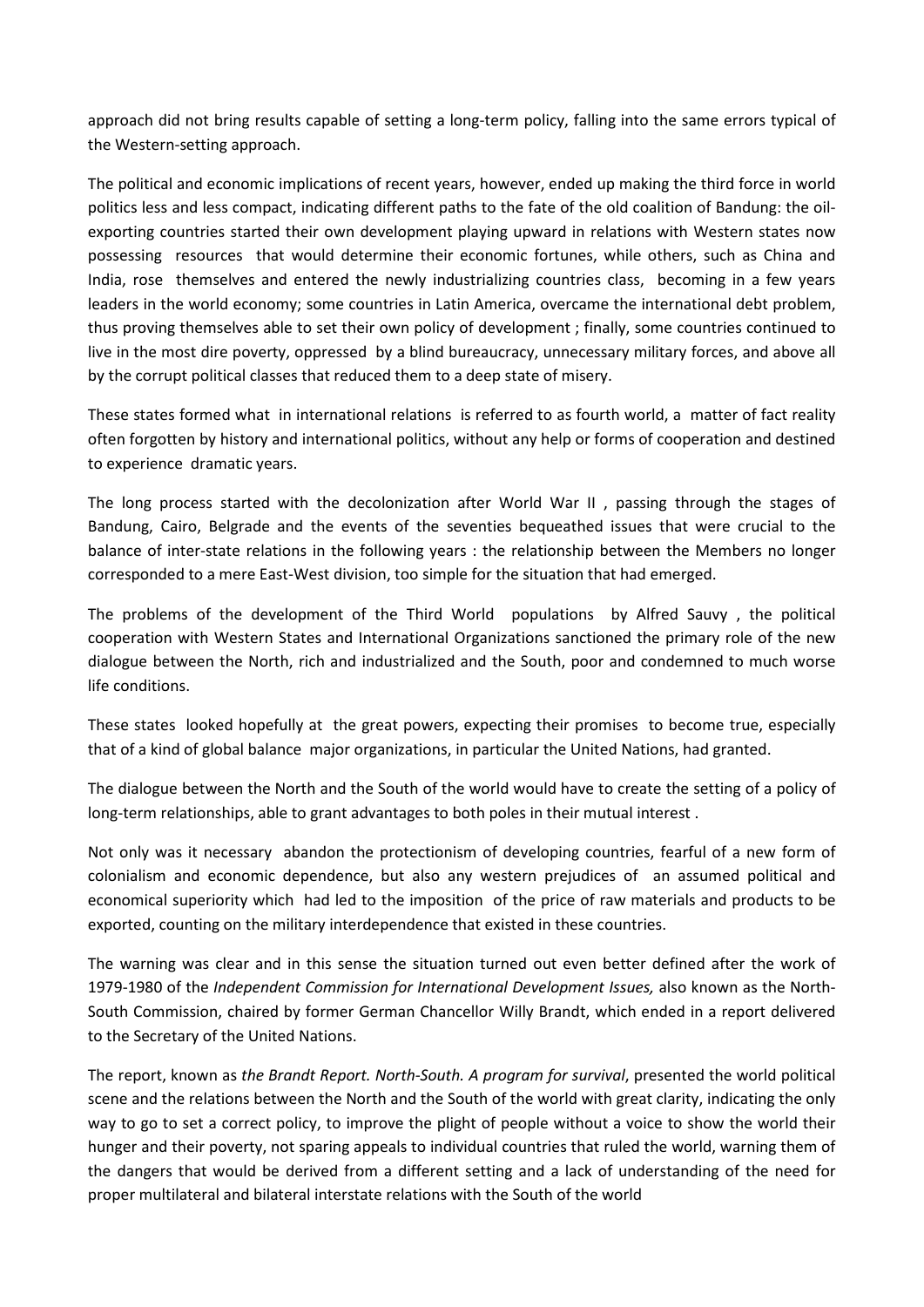approach did not bring results capable of setting a long-term policy, falling into the same errors typical of the Western-setting approach.

The political and economic implications of recent years, however, ended up making the third force in world politics less and less compact, indicating different paths to the fate of the old coalition of Bandung: the oilexporting countries started their own development playing upward in relations with Western states now possessing resources that would determine their economic fortunes, while others, such as China and India, rose themselves and entered the newly industrializing countries class, becoming in a few years leaders in the world economy; some countries in Latin America, overcame the international debt problem, thus proving themselves able to set their own policy of development ; finally, some countries continued to live in the most dire poverty, oppressed by a blind bureaucracy, unnecessary military forces, and above all by the corrupt political classes that reduced them to a deep state of misery.

These states formed what in international relations is referred to as fourth world, a matter of fact reality often forgotten by history and international politics, without any help or forms of cooperation and destined to experience dramatic years.

The long process started with the decolonization after World War II , passing through the stages of Bandung, Cairo, Belgrade and the events of the seventies bequeathed issues that were crucial to the balance of inter-state relations in the following years : the relationship between the Members no longer corresponded to a mere East-West division, too simple for the situation that had emerged.

The problems of the development of the Third World populations by Alfred Sauvy , the political cooperation with Western States and International Organizations sanctioned the primary role of the new dialogue between the North, rich and industrialized and the South, poor and condemned to much worse life conditions.

These states looked hopefully at the great powers, expecting their promises to become true, especially that of a kind of global balance major organizations, in particular the United Nations, had granted.

The dialogue between the North and the South of the world would have to create the setting of a policy of long-term relationships, able to grant advantages to both poles in their mutual interest .

Not only was it necessary abandon the protectionism of developing countries, fearful of a new form of colonialism and economic dependence, but also any western prejudices of an assumed political and economical superiority which had led to the imposition of the price of raw materials and products to be exported, counting on the military interdependence that existed in these countries.

The warning was clear and in this sense the situation turned out even better defined after the work of 1979-1980 of the *Independent Commission for International Development Issues,* also known as the North-South Commission, chaired by former German Chancellor Willy Brandt, which ended in a report delivered to the Secretary of the United Nations.

The report, known as *the Brandt Report. North-South. A program for survival*, presented the world political scene and the relations between the North and the South of the world with great clarity, indicating the only way to go to set a correct policy, to improve the plight of people without a voice to show the world their hunger and their poverty, not sparing appeals to individual countries that ruled the world, warning them of the dangers that would be derived from a different setting and a lack of understanding of the need for proper multilateral and bilateral interstate relations with the South of the world